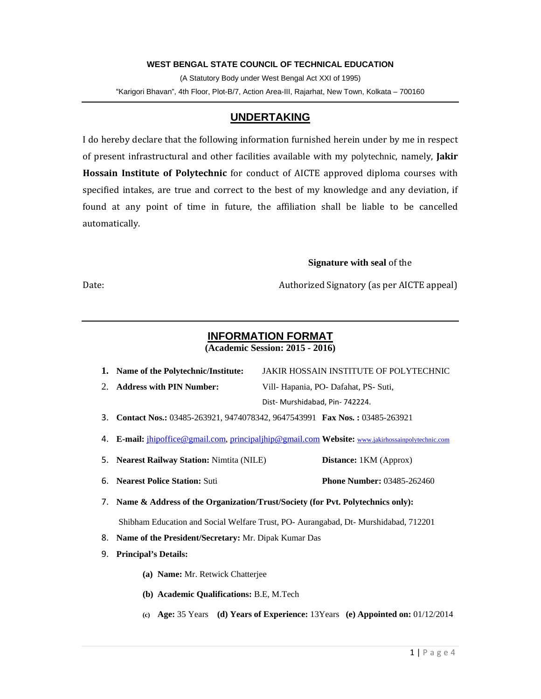# **WEST BENGAL STATE COUNCIL OF TECHNICAL EDUCATION**

(A Statutory Body under West Bengal Act XXI of 1995) "Karigori Bhavan", 4th Floor, Plot-B/7, Action Area-III, Rajarhat, New Town, Kolkata – 700160

# **UNDERTAKING**

I do hereby declare that the following information furnished herein under by me in respect of present infrastructural and other facilities available with my polytechnic, namely, Jakir Hossain Institute of Polytechnic for conduct of AICTE approved diploma courses with specified intakes, are true and correct to the best of my knowledge and any deviation, if found at any point of time in future, the affiliation shall be liable to be cancelled automatically. 

### **Signature with seal of the**

Date: Authorized Signatory (as per AICTE appeal) 

# **INFORMATION FORMAT**

|    | 1. Name of the Polytechnic/Institute:                   | JAKIR HOSSAIN INSTITUTE OF POLYTECHNIC                                                            |  |
|----|---------------------------------------------------------|---------------------------------------------------------------------------------------------------|--|
|    | 2. Address with PIN Number:                             | Vill- Hapania, PO- Dafahat, PS- Suti,                                                             |  |
|    |                                                         | Dist-Murshidabad, Pin-742224.                                                                     |  |
|    |                                                         | 3. Contact Nos.: 03485-263921, 9474078342, 9647543991 Fax Nos.: 03485-263921                      |  |
|    |                                                         | 4. E-mail: jhipoffice@gmail.com, principaljhip@gmail.com Website: www.jakirhossainpolytechnic.com |  |
|    | 5. Nearest Railway Station: Nimtita (NILE)              | Distance: 1KM (Approx)                                                                            |  |
|    | 6. Nearest Police Station: Suti                         | <b>Phone Number: 03485-262460</b>                                                                 |  |
|    |                                                         | 7. Name & Address of the Organization/Trust/Society (for Pvt. Polytechnics only):                 |  |
|    |                                                         | Shibham Education and Social Welfare Trust, PO- Aurangabad, Dt- Murshidabad, 712201               |  |
|    | 8. Name of the President/Secretary: Mr. Dipak Kumar Das |                                                                                                   |  |
| 9. | <b>Principal's Details:</b>                             |                                                                                                   |  |
|    | (a) Name: Mr. Retwick Chatterjee                        |                                                                                                   |  |
|    | (b) Academic Qualifications: B.E, M.Tech                |                                                                                                   |  |
|    |                                                         | (c) Age: 35 Years (d) Years of Experience: $13Years$ (e) Appointed on: $01/12/2014$               |  |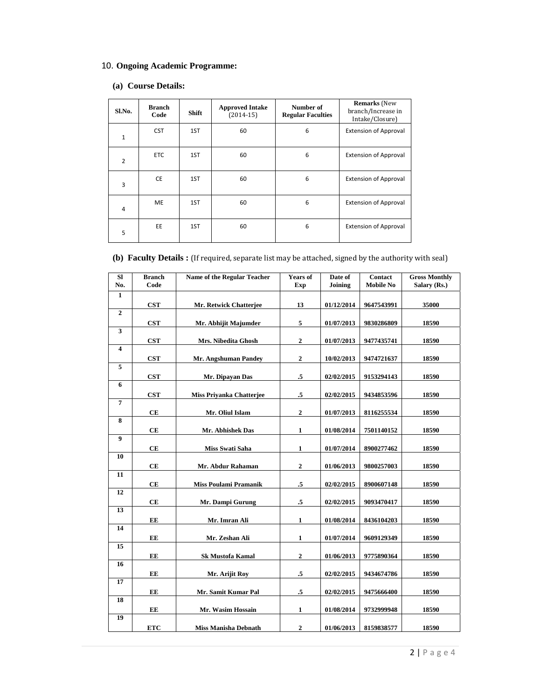# 10. **Ongoing Academic Programme:**

# **(a) Course Details:**

| Sl.No.         | <b>Branch</b><br>Code | Shift | <b>Approved Intake</b><br>$(2014-15)$ | Number of<br><b>Regular Faculties</b> | <b>Remarks</b> (New<br>branch/Increase in<br>Intake/Closure) |
|----------------|-----------------------|-------|---------------------------------------|---------------------------------------|--------------------------------------------------------------|
| $\mathbf{1}$   | <b>CST</b>            | 1ST   | 60                                    | 6                                     | <b>Extension of Approval</b>                                 |
| $\overline{2}$ | <b>ETC</b>            | 1ST   | 60                                    | 6                                     | <b>Extension of Approval</b>                                 |
| 3              | <b>CE</b>             | 1ST   | 60                                    | 6                                     | <b>Extension of Approval</b>                                 |
| 4              | <b>ME</b>             | 1ST   | 60                                    | 6                                     | <b>Extension of Approval</b>                                 |
| 5              | EE                    | 1ST   | 60                                    | 6                                     | <b>Extension of Approval</b>                                 |

# **(b)** Faculty Details : [If required, separate list may be attached, signed by the authority with seal]

| Sl<br>No.        | <b>Branch</b><br>Code | <b>Name of the Regular Teacher</b> | <b>Years of</b><br>Exp | Date of<br>Joining | Contact<br><b>Mobile No</b> | <b>Gross Monthly</b><br>Salary (Rs.) |
|------------------|-----------------------|------------------------------------|------------------------|--------------------|-----------------------------|--------------------------------------|
| 1                |                       |                                    |                        |                    |                             |                                      |
|                  | CST                   | Mr. Retwick Chatterjee             | 13                     | 01/12/2014         | 9647543991                  | 35000                                |
| $\overline{2}$   |                       |                                    |                        |                    |                             |                                      |
|                  | <b>CST</b>            | Mr. Abhijit Majumder               | 5                      | 01/07/2013         | 9830286809                  | 18590                                |
| 3                |                       |                                    |                        |                    |                             |                                      |
|                  | <b>CST</b>            | Mrs. Nibedita Ghosh                | $\overline{2}$         | 01/07/2013         | 9477435741                  | 18590                                |
| 4                |                       |                                    |                        |                    |                             |                                      |
| 5                | <b>CST</b>            | Mr. Angshuman Pandey               | $\boldsymbol{2}$       | 10/02/2013         | 9474721637                  | 18590                                |
|                  |                       |                                    |                        |                    |                             |                                      |
| 6                | <b>CST</b>            | Mr. Dipayan Das                    | .5                     | 02/02/2015         | 9153294143                  | 18590                                |
|                  | <b>CST</b>            | <b>Miss Privanka Chatterjee</b>    | $\cdot$ 5              | 02/02/2015         | 9434853596                  | 18590                                |
| $\overline{7}$   |                       |                                    |                        |                    |                             |                                      |
|                  | CE                    | Mr. Oliul Islam                    | $\boldsymbol{2}$       | 01/07/2013         | 8116255534                  | 18590                                |
| 8                |                       |                                    |                        |                    |                             |                                      |
|                  | CЕ                    | Mr. Abhishek Das                   | $\mathbf{1}$           | 01/08/2014         | 7501140152                  | 18590                                |
| $\boldsymbol{9}$ |                       |                                    |                        |                    |                             |                                      |
|                  | CE                    | Miss Swati Saha                    | $\mathbf{1}$           | 01/07/2014         | 8900277462                  | 18590                                |
| 10               |                       |                                    |                        |                    |                             |                                      |
|                  | CE                    | Mr. Abdur Rahaman                  | $\boldsymbol{2}$       | 01/06/2013         | 9800257003                  | 18590                                |
| 11               |                       |                                    |                        |                    |                             |                                      |
|                  | CE                    | <b>Miss Poulami Pramanik</b>       | .5                     | 02/02/2015         | 8900607148                  | 18590                                |
| 12               |                       |                                    |                        |                    |                             |                                      |
|                  | CE                    | Mr. Dampi Gurung                   | $\mathbf{.5}$          | 02/02/2015         | 9093470417                  | 18590                                |
| 13               |                       |                                    |                        |                    |                             |                                      |
| 14               | EE                    | Mr. Imran Ali                      | 1                      | 01/08/2014         | 8436104203                  | 18590                                |
|                  | EE                    | Mr. Zeshan Ali                     | $\mathbf{1}$           | 01/07/2014         | 9609129349                  | 18590                                |
| 15               |                       |                                    |                        |                    |                             |                                      |
|                  | EE                    | <b>Sk Mustofa Kamal</b>            | $\overline{2}$         | 01/06/2013         | 9775890364                  | 18590                                |
| 16               |                       |                                    |                        |                    |                             |                                      |
|                  | EE                    | Mr. Arijit Roy                     | $\mathbf{.5}$          | 02/02/2015         | 9434674786                  | 18590                                |
| 17               |                       |                                    |                        |                    |                             |                                      |
|                  | EЕ                    | Mr. Samit Kumar Pal                | .5                     | 02/02/2015         | 9475666400                  | 18590                                |
| 18               |                       |                                    |                        |                    |                             |                                      |
|                  | EE                    | Mr. Wasim Hossain                  | $\mathbf{1}$           | 01/08/2014         | 9732999948                  | 18590                                |
| 19               |                       |                                    |                        |                    |                             |                                      |
|                  | <b>ETC</b>            | Miss Manisha Debnath               | 2                      | 01/06/2013         | 8159838577                  | 18590                                |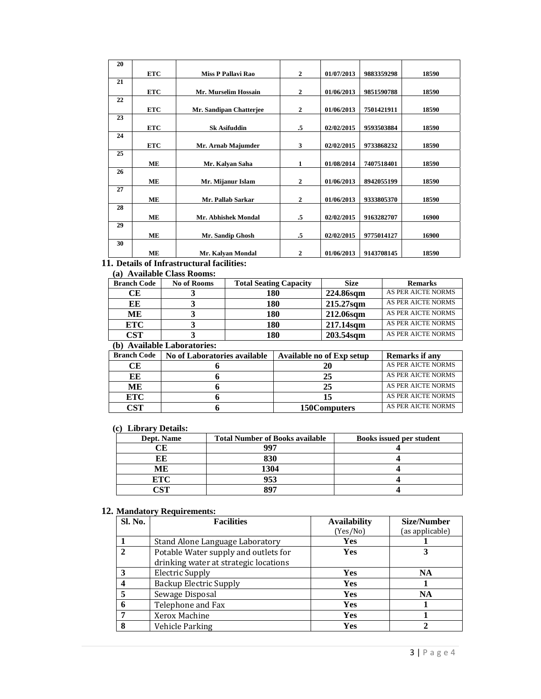| <b>ETC</b> | <b>Miss P Pallavi Rao</b>   | $\overline{2}$ | 01/07/2013 | 9883359298 | 18590 |
|------------|-----------------------------|----------------|------------|------------|-------|
|            |                             |                |            |            |       |
| <b>ETC</b> | <b>Mr. Murselim Hossain</b> | $\overline{2}$ | 01/06/2013 | 9851590788 | 18590 |
|            |                             |                |            |            |       |
| <b>ETC</b> | Mr. Sandipan Chatterjee     | $\overline{2}$ | 01/06/2013 | 7501421911 | 18590 |
|            |                             |                |            |            |       |
| <b>ETC</b> | <b>Sk Asifuddin</b>         | .5             | 02/02/2015 | 9593503884 | 18590 |
|            |                             |                |            |            |       |
| <b>ETC</b> | Mr. Arnab Majumder          | 3              | 02/02/2015 | 9733868232 | 18590 |
|            |                             |                |            |            |       |
| MЕ         | Mr. Kalyan Saha             | 1              | 01/08/2014 | 7407518401 | 18590 |
|            |                             |                |            |            |       |
| МE         | Mr. Mijanur Islam           | 2              | 01/06/2013 | 8942055199 | 18590 |
|            |                             |                |            |            |       |
| MЕ         | Mr. Pallab Sarkar           | $\overline{2}$ | 01/06/2013 | 9333805370 | 18590 |
|            |                             |                |            |            |       |
| MЕ         | Mr. Abhishek Mondal         | .5             | 02/02/2015 | 9163282707 | 16900 |
|            |                             |                |            |            |       |
| MЕ         | Mr. Sandip Ghosh            | .5             | 02/02/2015 | 9775014127 | 16900 |
|            |                             |                |            |            |       |
| ME         | Mr. Kalyan Mondal           | 2              | 01/06/2013 | 9143708145 | 18590 |
|            |                             |                |            |            |       |

# **11. Details of Infrastructural facilities:**

# **(a) Available Class Rooms:**

| <b>Branch Code</b> | <b>No of Rooms</b> | <b>Total Seating Capacity</b> | <b>Size</b> | <b>Remarks</b>     |
|--------------------|--------------------|-------------------------------|-------------|--------------------|
| CЕ                 |                    | 180                           | 224.86sqm   | AS PER AICTE NORMS |
| EЕ                 |                    | 180                           | 215.27sqm   | AS PER AICTE NORMS |
| ME                 |                    | 180                           | 212.06sqm   | AS PER AICTE NORMS |
| <b>ETC</b>         |                    | 180                           | 217.14sqm   | AS PER AICTE NORMS |
| <b>CST</b>         |                    | 180                           | 203.54sqm   | AS PER AICTE NORMS |

#### **(b) Available Laboratories:**

| <b>Branch Code</b> | No of Laboratories available | Available no of Exp setup | <b>Remarks if any</b> |
|--------------------|------------------------------|---------------------------|-----------------------|
| CЕ                 |                              | 20                        | AS PER AICTE NORMS    |
| EE                 |                              | 25                        | AS PER AICTE NORMS    |
| ME                 |                              | 25                        | AS PER AICTE NORMS    |
| <b>ETC</b>         |                              |                           | AS PER AICTE NORMS    |
| CST                |                              | 150Computers              | AS PER AICTE NORMS    |

### **(c) Library Details:**

| Dept. Name | <b>Total Number of Books available</b> | <b>Books issued per student</b> |
|------------|----------------------------------------|---------------------------------|
|            | 007                                    |                                 |
|            | 830                                    |                                 |
| MЕ         | 1304                                   |                                 |
| ETC        | 953                                    |                                 |
| חרות       |                                        |                                 |

#### **12. Mandatory Requirements:**

| Sl. No.      | <b>Facilities</b>                                                             | <b>Availability</b> | <b>Size/Number</b> |
|--------------|-------------------------------------------------------------------------------|---------------------|--------------------|
|              |                                                                               | (Yes/No)            | (as applicable)    |
|              | Stand Alone Language Laboratory                                               | Yes                 |                    |
| $\mathbf{2}$ | Potable Water supply and outlets for<br>drinking water at strategic locations | Yes                 |                    |
| 3            | <b>Electric Supply</b>                                                        | <b>Yes</b>          | NA                 |
|              | <b>Backup Electric Supply</b>                                                 | Yes                 |                    |
| 5            | Sewage Disposal                                                               | <b>Yes</b>          | <b>NA</b>          |
| 6            | Telephone and Fax                                                             | <b>Yes</b>          |                    |
|              | Xerox Machine                                                                 | Yes                 |                    |
| 8            | Vehicle Parking                                                               | Yes                 |                    |